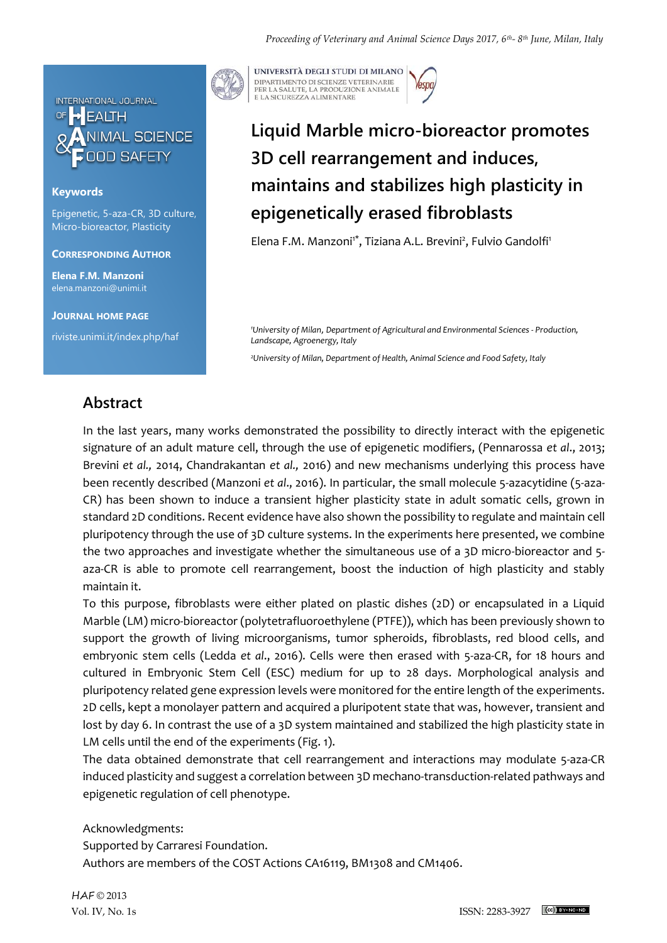

## **Keywords**

Epigenetic, 5-aza-CR, 3D culture, Micro-bioreactor, Plasticity

**CORRESPONDING AUTHOR**

**Elena F.M. Manzoni** elena.manzoni@unimi.it

**JOURNAL HOME PAGE**

riviste.unimi.it/index.php/haf



UNIVERSITÀ DEGLI STUDI DI MILANO DIPARTIMENTO DI SCIENZE VETERINARIE PER LA SALUTE, LA PRODUZIONE ANIMALE<br>E LA SICUREZZA ALIMENTARE

## **Liquid Marble micro-bioreactor promotes 3D cell rearrangement and induces, maintains and stabilizes high plasticity in epigenetically erased fibroblasts**

Elena F.M. Manzoni<sup>1\*</sup>, Tiziana A.L. Brevini<sup>2</sup>, Fulvio Gandolfi<sup>1</sup>

*<sup>1</sup>University of Milan*, *Department of Agricultural and Environmental Sciences - Production, Landscape, Agroenergy, Italy*

*<sup>2</sup>University of Milan, Department of Health, Animal Science and Food Safety, Italy*

## **Abstract**

In the last years, many works demonstrated the possibility to directly interact with the epigenetic signature of an adult mature cell, through the use of epigenetic modifiers, (Pennarossa *et al*., 2013; Brevini *et al.,* 2014, Chandrakantan *et al.,* 2016) and new mechanisms underlying this process have been recently described (Manzoni *et al*., 2016). In particular, the small molecule 5-azacytidine (5-aza-CR) has been shown to induce a transient higher plasticity state in adult somatic cells, grown in standard 2D conditions. Recent evidence have also shown the possibility to regulate and maintain cell pluripotency through the use of 3D culture systems. In the experiments here presented, we combine the two approaches and investigate whether the simultaneous use of a 3D micro-bioreactor and 5 aza-CR is able to promote cell rearrangement, boost the induction of high plasticity and stably maintain it.

To this purpose, fibroblasts were either plated on plastic dishes (2D) or encapsulated in a Liquid Marble (LM) micro-bioreactor (polytetrafluoroethylene (PTFE)), which has been previously shown to support the growth of living microorganisms, tumor spheroids, fibroblasts, red blood cells, and embryonic stem cells (Ledda *et al*., 2016). Cells were then erased with 5-aza-CR, for 18 hours and cultured in Embryonic Stem Cell (ESC) medium for up to 28 days. Morphological analysis and pluripotency related gene expression levels were monitored for the entire length of the experiments. 2D cells, kept a monolayer pattern and acquired a pluripotent state that was, however, transient and lost by day 6. In contrast the use of a 3D system maintained and stabilized the high plasticity state in LM cells until the end of the experiments (Fig. 1).

The data obtained demonstrate that cell rearrangement and interactions may modulate 5-aza-CR induced plasticity and suggest a correlation between 3D mechano-transduction-related pathways and epigenetic regulation of cell phenotype.

Acknowledgments:

Supported by Carraresi Foundation.

Authors are members of the COST Actions CA16119, BM1308 and CM1406.

HAF © 2013